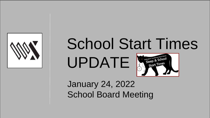





### January 24, 2022 School Board Meeting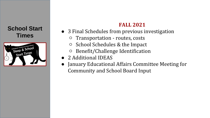

#### **FALL 2021**

- 3 Final Schedules from previous investigation
	- Transportation routes, costs
	- School Schedules & the Impact
	- Benefit/Challenge Identification
- 2 Additional IDEAS
- January Educational Affairs Committee Meeting for Community and School Board Input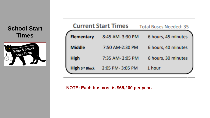

| <b>Current Start Times</b> |                 | <b>Total Buses Needed: 35</b> |  |
|----------------------------|-----------------|-------------------------------|--|
| <b>Elementary</b>          | 8:45 AM-3:30 PM | 6 hours, 45 minutes           |  |
| <b>Middle</b>              | 7:50 AM-2:30 PM | 6 hours, 40 minutes           |  |
| <b>High</b>                | 7:35 AM-2:05 PM | 6 hours, 30 minutes           |  |
| High 5th Block             | 2:05 PM-3:05 PM | 1 hour                        |  |

**NOTE: Each bus cost is \$65,200 per year.**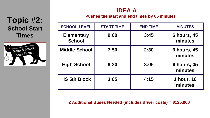#### **Topic #2: School Start Times**



#### **IDEA A**

**Pushes the start and end times by 65 minutes**

| <b>SCHOOL LEVEL</b>                | <b>START TIME</b> | <b>END TIME</b> | <b>MINUTES</b>                |
|------------------------------------|-------------------|-----------------|-------------------------------|
| <b>Elementary</b><br><b>School</b> | 9:00              | 3:45            | <b>6 hours, 45</b><br>minutes |
| <b>Middle School</b>               | 7:50              | 2:30            | <b>6 hours, 45</b><br>minutes |
| <b>High School</b>                 | 8:30              | 3:05            | <b>6 hours, 35</b><br>minutes |
| <b>HS 5th Block</b>                | 3:05              | 4:15            | 1 hour, 10<br>minutes         |

**2 Additional Buses Needed (includes driver costs) = \$125,000**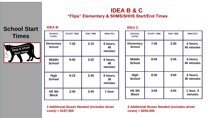#### **IDEA B & C "Flips" Elementary & SHMS/SHHS Start/End Times**

#### **School Start**   $Times$

**IDEA B:**



| <b>SCHOOL</b><br><b>LEVEL</b>      | <b>START TIME</b> | <b>END TIME</b> | <b>MINUTES</b>            |
|------------------------------------|-------------------|-----------------|---------------------------|
| <b>Elementary</b><br><b>School</b> | 7:30              | 2:15            | 6 hours,<br>45<br>minutes |
| <b>Middle</b><br><b>School</b>     | 8:40              | 3:20            | 6 hours,<br>40<br>minutes |
| High<br><b>School</b>              | 8:15              | 2:45            | 6 hours,<br>30<br>minutes |
| HS 5th<br><b>Block</b>             | 2:45              | 3:45            | 1 hour                    |

**IDEA C:**

| <b>SCHOOL</b><br><b>LEVEL</b>      | <b>START TIME</b> | <b>END TIME</b> | <b>MINUTES</b>         |
|------------------------------------|-------------------|-----------------|------------------------|
| <b>Elementary</b><br><b>School</b> | 7:45              | 2:30            | 6 hours,<br>45 minutes |
| <b>Middle</b><br><b>School</b>     | 8:55              | 3:35            | 6 hours,<br>40 minutes |
| <b>High</b><br><b>School</b>       | 8:30              | 3:00            | 6 hours,<br>30 minutes |
| HS 5th<br><b>Block</b>             | 3:00              | 4:05            | 1 hour, 5<br>minutes   |

**3 Additional Buses Needed (includes driver costs) = \$187,500**

**4 Additional Buses Needed (includes driver costs) = \$250,000**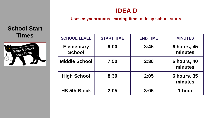#### **IDEA D**

#### **Uses asynchronous learning time to delay school starts**

## **School Start**



| Times                                                        | <b>SCHOOL LEVEL</b>                | <b>START TIME</b> | <b>END TIME</b> | <b>MINUTES</b>                |
|--------------------------------------------------------------|------------------------------------|-------------------|-----------------|-------------------------------|
| rd- Swarthmore School District<br>ep & School<br>start Times | <b>Elementary</b><br><b>School</b> | 9:00              | 3:45            | <b>6 hours, 45</b><br>minutes |
|                                                              | <b>Middle School</b>               | 7:50              | 2:30            | <b>6 hours, 40</b><br>minutes |
|                                                              | <b>High School</b>                 | 8:30              | 2:05            | <b>6 hours, 35</b><br>minutes |
|                                                              | <b>HS 5th Block</b>                | 2:05              | 3:05            | 1 hour                        |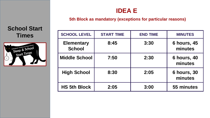#### **IDEA E**

#### **5th Block as mandatory (exceptions for particular reasons)**

## **School Start**



| IVVI VLAI L                                                         |                                    |                   |                 |                               |
|---------------------------------------------------------------------|------------------------------------|-------------------|-----------------|-------------------------------|
| <b>Times</b>                                                        | <b>SCHOOL LEVEL</b>                | <b>START TIME</b> | <b>END TIME</b> | <b>MINUTES</b>                |
| ed-Sworthenore School District<br>ep & School<br><b>Start Times</b> | <b>Elementary</b><br><b>School</b> | 8:45              | 3:30            | <b>6 hours, 45</b><br>minutes |
|                                                                     | <b>Middle School</b>               | 7:50              | 2:30            | <b>6 hours, 40</b><br>minutes |
|                                                                     | <b>High School</b>                 | 8:30              | 2:05            | <b>6 hours, 30</b><br>minutes |
|                                                                     | <b>HS 5th Block</b>                | 2:05              | 3:00            | 55 minutes                    |